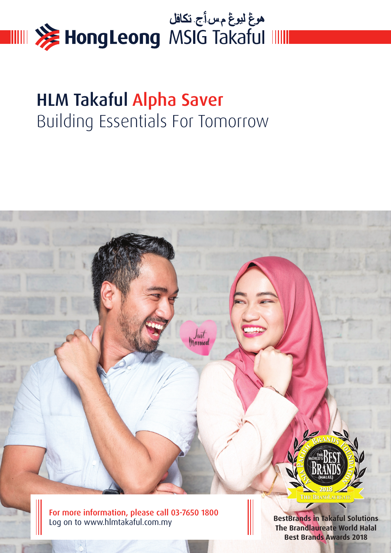

# HLM Takaful Alpha Saver Building Essentials For Tomorrow

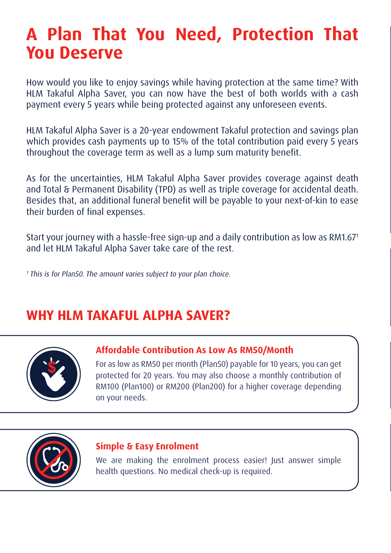# **A Plan That You Need, Protection That You Deserve**

How would you like to enjoy savings while having protection at the same time? With HLM Takaful Alpha Saver, you can now have the best of both worlds with a cash payment every 5 years while being protected against any unforeseen events.

HLM Takaful Alpha Saver is a 20-year endowment Takaful protection and savings plan which provides cash payments up to 15% of the total contribution paid every 5 years throughout the coverage term as well as a lump sum maturity benefit.

As for the uncertainties, HLM Takaful Alpha Saver provides coverage against death and Total & Permanent Disability (TPD) as well as triple coverage for accidental death. Besides that, an additional funeral benefit will be payable to your next-of-kin to ease their burden of final expenses.

Start your journey with a hassle-free sign-up and a daily contribution as low as RM1.671 and let HLM Takaful Alpha Saver take care of the rest.

1 This is for Plan50. The amount varies subject to your plan choice.

## **WHY HLM TAKAFUL ALPHA SAVER?**



### **Affordable Contribution As Low As RM50/Month**

For as low as RM50 per month (Plan50) payable for 10 years, you can get protected for 20 years. You may also choose a monthly contribution of RM100 (Plan100) or RM200 (Plan200) for a higher coverage depending on your needs.



### **Simple & Easy Enrolment**

We are making the enrolment process easier! Just answer simple health questions. No medical check-up is required.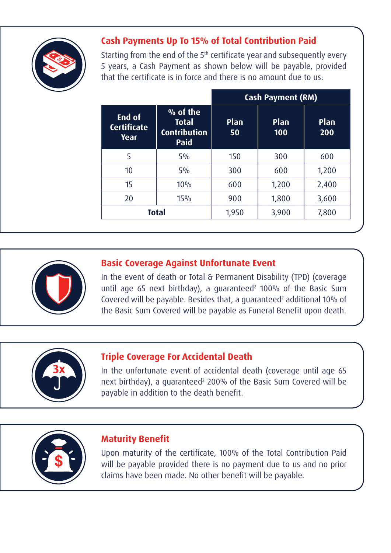

### **Cash Payments Up To 15% of Total Contribution Paid**

Starting from the end of the 5<sup>th</sup> certificate year and subsequently every 5 years, a Cash Payment as shown below will be payable, provided that the certificate is in force and there is no amount due to us:

|                                      |                                                         | <b>Cash Payment (RM)</b> |             |             |
|--------------------------------------|---------------------------------------------------------|--------------------------|-------------|-------------|
| End of<br><b>Certificate</b><br>Year | % of the<br><b>Total</b><br><b>Contribution</b><br>Paid | <b>Plan</b><br>50        | Plan<br>100 | Plan<br>200 |
| 5                                    | 5%                                                      | 150                      | 300         | 600         |
| 10                                   | 5%                                                      | 300                      | 600         | 1,200       |
| 15                                   | 10%                                                     | 600                      | 1,200       | 2,400       |
| 20                                   | 15%                                                     | 900                      | 1,800       | 3,600       |
|                                      | <b>Total</b>                                            | 1,950                    | 3,900       | 7,800       |



### **Basic Coverage Against Unfortunate Event**

In the event of death or Total & Permanent Disability (TPD) (coverage until age 65 next birthday), a guaranteed<sup>2</sup> 100% of the Basic Sum Covered will be payable. Besides that, a guaranteed<sup>2</sup> additional 10% of the Basic Sum Covered will be payable as Funeral Benefit upon death.



### **Triple Coverage For Accidental Death**

In the unfortunate event of accidental death (coverage until age 65 next birthday), a guaranteed<sup>2</sup> 200% of the Basic Sum Covered will be payable in addition to the death benefit.



### **Maturity Benefit**

Upon maturity of the certificate, 100% of the Total Contribution Paid will be payable provided there is no payment due to us and no prior claims have been made. No other benefit will be payable.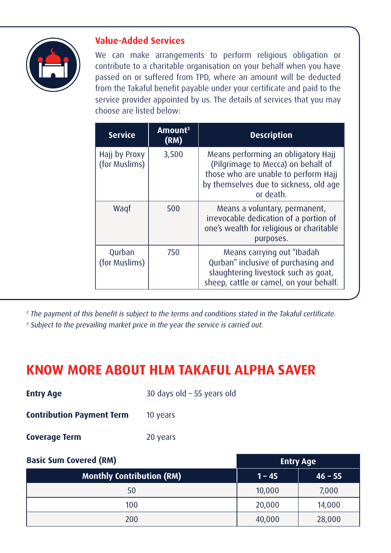

### **Value-Added Services**

We can make arrangements to perform religious obligation or contribute to a charitable organisation on your behalf when you have passed on or suffered from TPD, where an amount will be deducted from the Takaful benefit payable under your certificate and paid to the service provider appointed by us. The details of services that you may choose are listed below:

| <b>Service</b>                 | Amount <sup>3</sup><br>(RM) | <b>Description</b>                                                                                                                                                       |
|--------------------------------|-----------------------------|--------------------------------------------------------------------------------------------------------------------------------------------------------------------------|
| Hajj by Proxy<br>(for Muslims) | 3,500                       | Means performing an obligatory Hajj<br>(Pilgrimage to Mecca) on behalf of<br>those who are unable to perform Hajj<br>by themselves due to sickness, old age<br>or death. |
| Wagf                           | 500                         | Means a voluntary, permanent,<br>irrevocable dedication of a portion of<br>one's wealth for religious or charitable<br>purposes.                                         |
| Qurban<br>(for Muslims)        | 750                         | Means carrying out "Ibadah<br>Qurban" inclusive of purchasing and<br>slaughtering livestock such as goat,<br>sheep, cattle or camel, on your behalf.                     |

<sup>2</sup> The payment of this benefit is subject to the terms and conditions stated in the Takaful certificate.

<sup>3</sup> Subject to the prevailing market price in the year the service is carried out.

### **KNOW MORE ABOUT HLM TAKAFUL ALPHA SAVER**

| <b>Entry Age</b>                 | 30 days old - 55 years old |
|----------------------------------|----------------------------|
| <b>Contribution Payment Term</b> | 10 years                   |
| <b>Coverage Term</b>             | 20 years                   |

| <b>Basic Sum Covered (RM)</b>    | <b>Entry Age</b> |           |
|----------------------------------|------------------|-----------|
| <b>Monthly Contribution (RM)</b> | $1 - 45$         | $46 - 55$ |
| 50                               | 10,000           | 7,000     |
| 100                              | 20,000           | 14,000    |
| 200                              | 40,000           | 28,000    |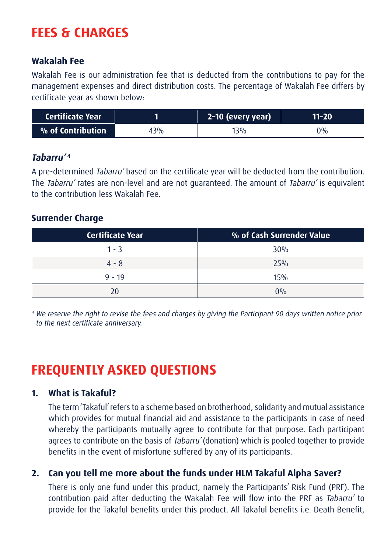## **FEES & CHARGES**

### **Wakalah Fee**

Wakalah Fee is our administration fee that is deducted from the contributions to pay for the management expenses and direct distribution costs. The percentage of Wakalah Fee differs by certificate year as shown below:

| <b>Certificate Year</b> |     | 2-10 (every year) | 11–20 |
|-------------------------|-----|-------------------|-------|
| % of Contribution       | 43% | $13\%$            | ን%    |

### **Tabarru' 4**

A pre-determined Tabarru' based on the certificate year will be deducted from the contribution. The Tabarru' rates are non-level and are not quaranteed. The amount of Tabarru' is equivalent to the contribution less Wakalah Fee.

### **Surrender Charge**

| <b>Certificate Year</b> | % of Cash Surrender Value |
|-------------------------|---------------------------|
| 1 - 3                   | 30%                       |
| $4 - 8$                 | 25%                       |
| $9 - 19$                | 15%                       |
| 20                      | $0\%$                     |

<sup>4</sup> We reserve the right to revise the fees and charges by giving the Participant 90 days written notice prior to the next certificate anniversary.

# **FREQUENTLY ASKED QUESTIONS**

### **1. What is Takaful?**

The term 'Takaful' refers to a scheme based on brotherhood, solidarity and mutual assistance which provides for mutual financial aid and assistance to the participants in case of need whereby the participants mutually agree to contribute for that purpose. Each participant agrees to contribute on the basis of Tabarru' (donation) which is pooled together to provide benefits in the event of misfortune suffered by any of its participants.

### **2. Can you tell me more about the funds under HLM Takaful Alpha Saver?**

There is only one fund under this product, namely the Participants' Risk Fund (PRF). The contribution paid after deducting the Wakalah Fee will flow into the PRF as Tabarru' to provide for the Takaful benefits under this product. All Takaful benefits i.e. Death Benefit,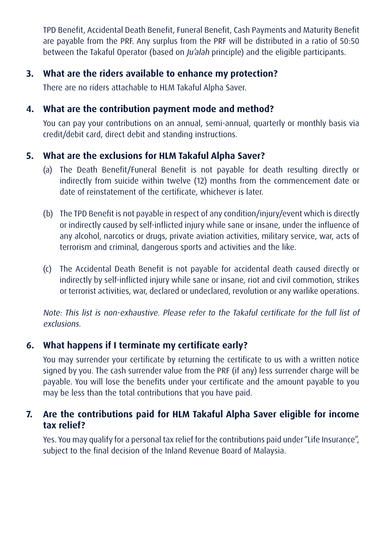TPD Benefit, Accidental Death Benefit, Funeral Benefit, Cash Payments and Maturity Benefit are payable from the PRF. Any surplus from the PRF will be distributed in a ratio of 50:50 between the Takaful Operator (based on *Ju'alah* principle) and the eligible participants.

### **3. What are the riders available to enhance my protection?**

There are no riders attachable to HLM Takaful Alpha Saver.

### **4. What are the contribution payment mode and method?**

 You can pay your contributions on an annual, semi-annual, quarterly or monthly basis via credit/debit card, direct debit and standing instructions.

### **5. What are the exclusions for HLM Takaful Alpha Saver?**

- (a) The Death Benefit/Funeral Benefit is not payable for death resulting directly or indirectly from suicide within twelve (12) months from the commencement date or date of reinstatement of the certificate, whichever is later.
- (b) The TPD Benefit is not payable in respect of any condition/injury/event which is directly or indirectly caused by self-inflicted injury while sane or insane, under the influence of any alcohol, narcotics or drugs, private aviation activities, military service, war, acts of terrorism and criminal, dangerous sports and activities and the like.
- (c) The Accidental Death Benefit is not payable for accidental death caused directly or indirectly by self-inflicted injury while sane or insane, riot and civil commotion, strikes or terrorist activities, war, declared or undeclared, revolution or any warlike operations.

Note: This list is non-exhaustive. Please refer to the Takaful certificate for the full list of exclusions.

### **6. What happens if I terminate my certificate early?**

You may surrender your certificate by returning the certificate to us with a written notice signed by you. The cash surrender value from the PRF (if any) less surrender charge will be payable. You will lose the benefits under your certificate and the amount payable to you may be less than the total contributions that you have paid.

### **7. Are the contributions paid for HLM Takaful Alpha Saver eligible for income tax relief?**

Yes. You may qualify for a personal tax relief for the contributions paid under "Life Insurance", subject to the final decision of the Inland Revenue Board of Malaysia.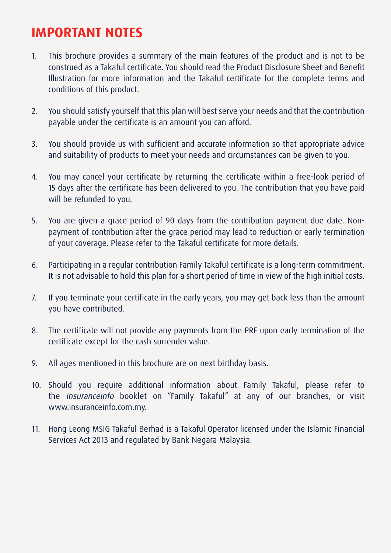### **IMPORTANT NOTES**

- 1. This brochure provides a summary of the main features of the product and is not to be construed as a Takaful certificate. You should read the Product Disclosure Sheet and Benefit Illustration for more information and the Takaful certificate for the complete terms and conditions of this product.
- 2. You should satisfy yourself that this plan will best serve your needs and that the contribution payable under the certificate is an amount you can afford.
- 3. You should provide us with sufficient and accurate information so that appropriate advice and suitability of products to meet your needs and circumstances can be given to you.
- 4. You may cancel your certificate by returning the certificate within a free-look period of 15 days after the certificate has been delivered to you. The contribution that you have paid will be refunded to you.
- 5. You are given a grace period of 90 days from the contribution payment due date. Nonpayment of contribution after the grace period may lead to reduction or early termination of your coverage. Please refer to the Takaful certificate for more details.
- 6. Participating in a regular contribution Family Takaful certificate is a long-term commitment. It is not advisable to hold this plan for a short period of time in view of the high initial costs.
- 7. If you terminate your certificate in the early years, you may get back less than the amount you have contributed.
- 8. The certificate will not provide any payments from the PRF upon early termination of the certificate except for the cash surrender value.
- 9. All ages mentioned in this brochure are on next birthday basis.
- 10. Should you require additional information about Family Takaful, please refer to the insuranceinfo booklet on "Family Takaful" at any of our branches, or visit www.insuranceinfo.com.my.
- 11. Hong Leong MSIG Takaful Berhad is a Takaful Operator licensed under the Islamic Financial Services Act 2013 and regulated by Bank Negara Malaysia.